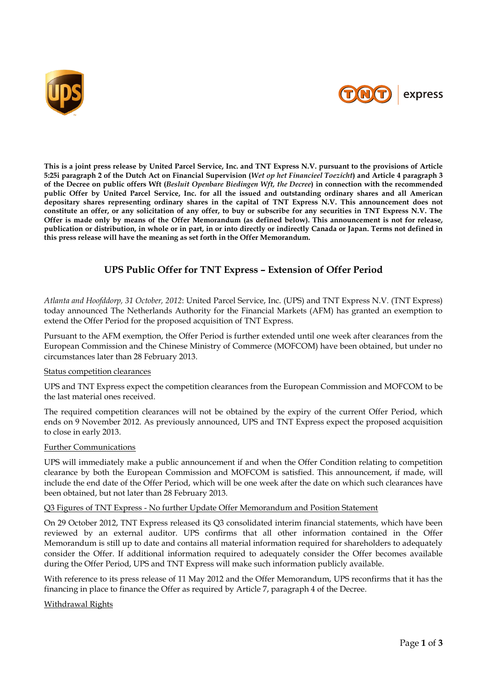



**This is a joint press release by United Parcel Service, Inc. and TNT Express N.V. pursuant to the provisions of Article 5:25i paragraph 2 of the Dutch Act on Financial Supervision (***Wet op het Financieel Toezicht***) and Article 4 paragraph 3 of the Decree on public offers Wft (***Besluit Openbare Biedingen Wft, the Decree***) in connection with the recommended public Offer by United Parcel Service, Inc. for all the issued and outstanding ordinary shares and all American depositary shares representing ordinary shares in the capital of TNT Express N.V. This announcement does not constitute an offer, or any solicitation of any offer, to buy or subscribe for any securities in TNT Express N.V. The Offer is made only by means of the Offer Memorandum (as defined below). This announcement is not for release, publication or distribution, in whole or in part, in or into directly or indirectly Canada or Japan. Terms not defined in this press release will have the meaning as set forth in the Offer Memorandum.**

# **UPS Public Offer for TNT Express – Extension of Offer Period**

*Atlanta and Hoofddorp, 31 October, 2012*: United Parcel Service, Inc. (UPS) and TNT Express N.V. (TNT Express) today announced The Netherlands Authority for the Financial Markets (AFM) has granted an exemption to extend the Offer Period for the proposed acquisition of TNT Express.

Pursuant to the AFM exemption, the Offer Period is further extended until one week after clearances from the European Commission and the Chinese Ministry of Commerce (MOFCOM) have been obtained, but under no circumstances later than 28 February 2013.

#### Status competition clearances

UPS and TNT Express expect the competition clearances from the European Commission and MOFCOM to be the last material ones received.

The required competition clearances will not be obtained by the expiry of the current Offer Period, which ends on 9 November 2012. As previously announced, UPS and TNT Express expect the proposed acquisition to close in early 2013.

#### Further Communications

UPS will immediately make a public announcement if and when the Offer Condition relating to competition clearance by both the European Commission and MOFCOM is satisfied. This announcement, if made, will include the end date of the Offer Period, which will be one week after the date on which such clearances have been obtained, but not later than 28 February 2013.

#### Q3 Figures of TNT Express - No further Update Offer Memorandum and Position Statement

On 29 October 2012, TNT Express released its Q3 consolidated interim financial statements, which have been reviewed by an external auditor. UPS confirms that all other information contained in the Offer Memorandum is still up to date and contains all material information required for shareholders to adequately consider the Offer. If additional information required to adequately consider the Offer becomes available during the Offer Period, UPS and TNT Express will make such information publicly available.

With reference to its press release of 11 May 2012 and the Offer Memorandum, UPS reconfirms that it has the financing in place to finance the Offer as required by Article 7, paragraph 4 of the Decree.

#### Withdrawal Rights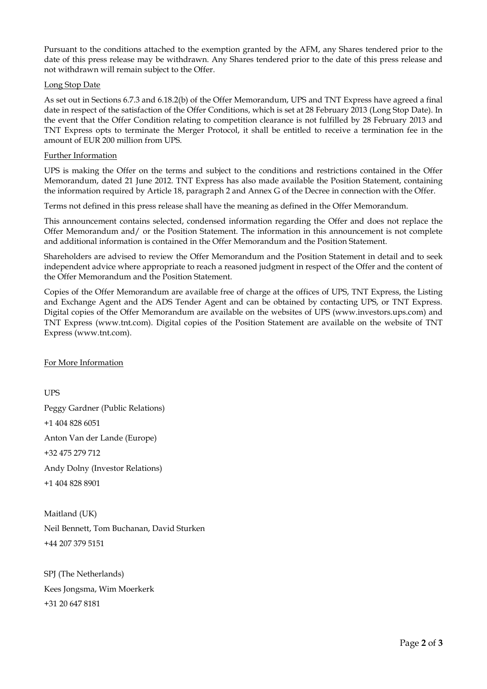Pursuant to the conditions attached to the exemption granted by the AFM, any Shares tendered prior to the date of this press release may be withdrawn. Any Shares tendered prior to the date of this press release and not withdrawn will remain subject to the Offer.

## Long Stop Date

As set out in Sections 6.7.3 and 6.18.2(b) of the Offer Memorandum, UPS and TNT Express have agreed a final date in respect of the satisfaction of the Offer Conditions, which is set at 28 February 2013 (Long Stop Date). In the event that the Offer Condition relating to competition clearance is not fulfilled by 28 February 2013 and TNT Express opts to terminate the Merger Protocol, it shall be entitled to receive a termination fee in the amount of EUR 200 million from UPS.

## Further Information

UPS is making the Offer on the terms and subject to the conditions and restrictions contained in the Offer Memorandum, dated 21 June 2012. TNT Express has also made available the Position Statement, containing the information required by Article 18, paragraph 2 and Annex G of the Decree in connection with the Offer.

Terms not defined in this press release shall have the meaning as defined in the Offer Memorandum.

This announcement contains selected, condensed information regarding the Offer and does not replace the Offer Memorandum and/ or the Position Statement. The information in this announcement is not complete and additional information is contained in the Offer Memorandum and the Position Statement.

Shareholders are advised to review the Offer Memorandum and the Position Statement in detail and to seek independent advice where appropriate to reach a reasoned judgment in respect of the Offer and the content of the Offer Memorandum and the Position Statement.

Copies of the Offer Memorandum are available free of charge at the offices of UPS, TNT Express, the Listing and Exchange Agent and the ADS Tender Agent and can be obtained by contacting UPS, or TNT Express. Digital copies of the Offer Memorandum are available on the websites of UPS (www.investors.ups.com) and TNT Express (www.tnt.com). Digital copies of the Position Statement are available on the website of TNT Express (www.tnt.com).

## For More Information

**UPS** Peggy Gardner (Public Relations) +1 404 828 6051 Anton Van der Lande (Europe) +32 475 279 712 Andy Dolny (Investor Relations) +1 404 828 8901

Maitland (UK) Neil Bennett, Tom Buchanan, David Sturken +44 207 379 5151

SPJ (The Netherlands) Kees Jongsma, Wim Moerkerk +31 20 647 8181